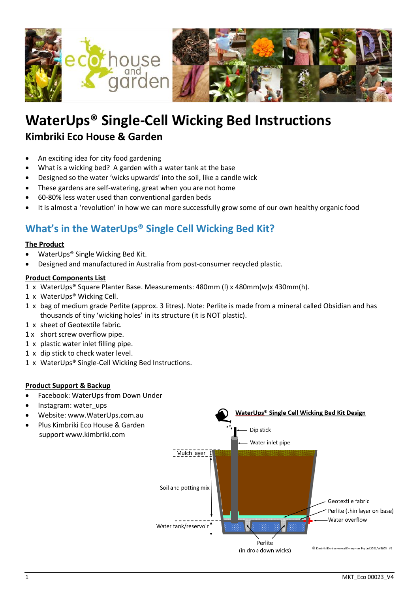

# **WaterUps® Single-Cell Wicking Bed Instructions Kimbriki Eco House & Garden**

- An exciting idea for city food gardening
- What is a wicking bed? A garden with a water tank at the base
- Designed so the water 'wicks upwards' into the soil, like a candle wick
- These gardens are self-watering, great when you are not home
- 60-80% less water used than conventional garden beds
- It is almost a 'revolution' in how we can more successfully grow some of our own healthy organic food

## **What's in the WaterUps® Single Cell Wicking Bed Kit?**

#### **The Product**

- WaterUps® Single Wicking Bed Kit.
- Designed and manufactured in Australia from post-consumer recycled plastic.

#### **Product Components List**

- 1 x WaterUps® Square Planter Base. Measurements: 480mm (l) x 480mm(w)x 430mm(h).
- 1 x WaterUps® Wicking Cell.
- 1 x bag of medium grade Perlite (approx. 3 litres). Note: Perlite is made from a mineral called Obsidian and has thousands of tiny 'wicking holes' in its structure (it is NOT plastic).
- 1 x sheet of Geotextile fabric.
- 1 x short screw overflow pipe.
- 1 x plastic water inlet filling pipe.
- 1 x dip stick to check water level.
- 1 x WaterUps® Single-Cell Wicking Bed Instructions.

#### **Product Support & Backup**

- Facebook: WaterUps from Down Under
- Instagram: water\_ups
- Website: www.WaterUps.com.au
- Plus Kimbriki Eco House & Garden support [www.kimbriki.com](http://www.kimbriki.com/)

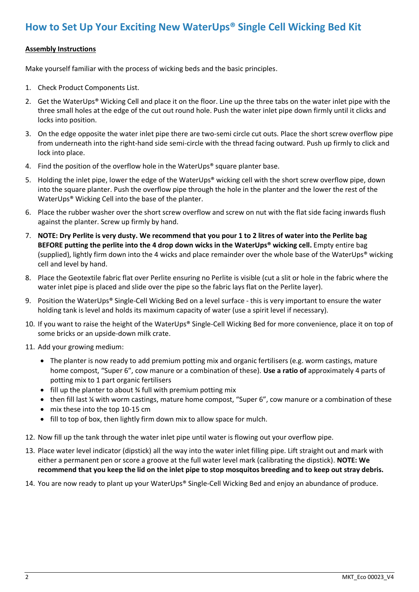### **How to Set Up Your Exciting New WaterUps® Single Cell Wicking Bed Kit**

#### **Assembly Instructions**

Make yourself familiar with the process of wicking beds and the basic principles.

- 1. Check Product Components List.
- 2. Get the WaterUps® Wicking Cell and place it on the floor. Line up the three tabs on the water inlet pipe with the three small holes at the edge of the cut out round hole. Push the water inlet pipe down firmly until it clicks and locks into position.
- 3. On the edge opposite the water inlet pipe there are two-semi circle cut outs. Place the short screw overflow pipe from underneath into the right-hand side semi-circle with the thread facing outward. Push up firmly to click and lock into place.
- 4. Find the position of the overflow hole in the WaterUps<sup>®</sup> square planter base.
- 5. Holding the inlet pipe, lower the edge of the WaterUps® wicking cell with the short screw overflow pipe, down into the square planter. Push the overflow pipe through the hole in the planter and the lower the rest of the WaterUps® Wicking Cell into the base of the planter.
- 6. Place the rubber washer over the short screw overflow and screw on nut with the flat side facing inwards flush against the planter. Screw up firmly by hand.
- 7. **NOTE: Dry Perlite is very dusty. We recommend that you pour 1 to 2 litres of water into the Perlite bag BEFORE putting the perlite into the 4 drop down wicks in the WaterUps® wicking cell.** Empty entire bag (supplied), lightly firm down into the 4 wicks and place remainder over the whole base of the WaterUps® wicking cell and level by hand.
- 8. Place the Geotextile fabric flat over Perlite ensuring no Perlite is visible (cut a slit or hole in the fabric where the water inlet pipe is placed and slide over the pipe so the fabric lays flat on the Perlite layer).
- 9. Position the WaterUps® Single-Cell Wicking Bed on a level surface this is very important to ensure the water holding tank is level and holds its maximum capacity of water (use a spirit level if necessary).
- 10. If you want to raise the height of the WaterUps® Single-Cell Wicking Bed for more convenience, place it on top of some bricks or an upside-down milk crate.
- 11. Add your growing medium:
	- The planter is now ready to add premium potting mix and organic fertilisers (e.g. worm castings, mature home compost, "Super 6", cow manure or a combination of these). **Use a ratio of** approximately 4 parts of potting mix to 1 part organic fertilisers
	- fill up the planter to about % full with premium potting mix
	- then fill last ¼ with worm castings, mature home compost, "Super 6", cow manure or a combination of these
	- mix these into the top 10-15 cm
	- fill to top of box, then lightly firm down mix to allow space for mulch.
- 12. Now fill up the tank through the water inlet pipe until water is flowing out your overflow pipe.
- 13. Place water level indicator (dipstick) all the way into the water inlet filling pipe. Lift straight out and mark with either a permanent pen or score a groove at the full water level mark (calibrating the dipstick). **NOTE: We recommend that you keep the lid on the inlet pipe to stop mosquitos breeding and to keep out stray debris.**
- 14. You are now ready to plant up your WaterUps® Single-Cell Wicking Bed and enjoy an abundance of produce.